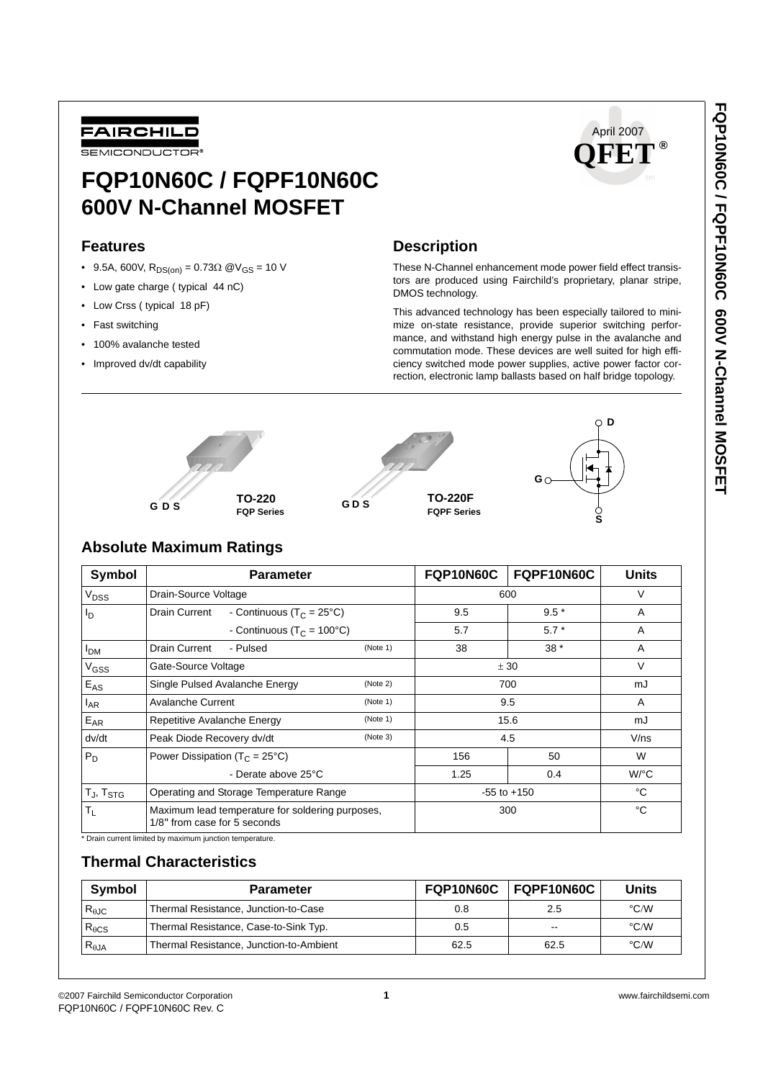

# **FQP10N60C / FQPF10N60C 600V N-Channel MOSFET**

## **Features**

- 9.5A, 600V,  $R_{DS(on)} = 0.73 \Omega$  @V<sub>GS</sub> = 10 V
- Low gate charge ( typical 44 nC)
- Low Crss ( typical 18 pF)
- Fast switching
- 100% avalanche tested
- Improved dv/dt capability



# **Description**

These N-Channel enhancement mode power field effect transistors are produced using Fairchild's proprietary, planar stripe, DMOS technology.

This advanced technology has been especially tailored to minimize on-state resistance, provide superior switching performance, and withstand high energy pulse in the avalanche and commutation mode. These devices are well suited for high efficiency switched mode power supplies, active power factor correction, electronic lamp ballasts based on half bridge topology.



# **Absolute Maximum Ratings**

| Symbol                 | <b>Parameter</b>                                                                 |          | FQP10N60C       | FQPF10N60C | <b>Units</b>       |
|------------------------|----------------------------------------------------------------------------------|----------|-----------------|------------|--------------------|
| V <sub>DSS</sub>       | Drain-Source Voltage                                                             |          | 600             | $\vee$     |                    |
| I <sub>D</sub>         | Drain Current<br>- Continuous ( $T_C = 25^{\circ}C$ )                            |          | 9.5             | $9.5*$     | A                  |
|                        | - Continuous ( $T_C = 100^{\circ}C$ )                                            |          | 5.7             | $5.7*$     | A                  |
| <b>I</b> <sub>DM</sub> | Drain Current<br>- Pulsed                                                        | (Note 1) | 38              | $38*$      | A                  |
| V <sub>GSS</sub>       | Gate-Source Voltage                                                              |          | ± 30            | $\vee$     |                    |
| $E_{AS}$               | Single Pulsed Avalanche Energy                                                   | (Note 2) | 700             |            | mJ                 |
| <sup>I</sup> AR        | <b>Avalanche Current</b>                                                         | (Note 1) | 9.5             |            | A                  |
| $E_{AR}$               | Repetitive Avalanche Energy<br>(Note 1)                                          |          | 15.6            |            | mJ                 |
| dv/dt                  | Peak Diode Recovery dv/dt<br>(Note 3)                                            |          | 4.5             |            | V/ns               |
| $P_D$                  | Power Dissipation ( $T_c = 25^{\circ}C$ )<br>- Derate above 25°C                 |          | 156             | 50         | W                  |
|                        |                                                                                  |          | 1.25            | 0.4        | $W$ <sup>o</sup> C |
| $T_J$ , $T_{STG}$      | Operating and Storage Temperature Range                                          |          | $-55$ to $+150$ |            | °C                 |
| $T_{L}$                | Maximum lead temperature for soldering purposes,<br>1/8" from case for 5 seconds |          | 300             |            | °C                 |

\* Drain current limited by maximum junction temperature.

# **Thermal Characteristics**

| Symbol          | <b>Parameter</b>                        |      | FQP10N60C   FQPF10N60C | Units              |
|-----------------|-----------------------------------------|------|------------------------|--------------------|
| $R_{\theta$ JC  | Thermal Resistance, Junction-to-Case    | 0.8  | 2.5                    | $\degree$ C/W      |
| $R_{\theta CS}$ | Thermal Resistance, Case-to-Sink Typ.   | 0.5  | $- -$                  | $\degree$ C/W      |
| $R_{\theta$ JA  | Thermal Resistance, Junction-to-Ambient | 62.5 | 62.5                   | $\rm ^{\circ}$ C/W |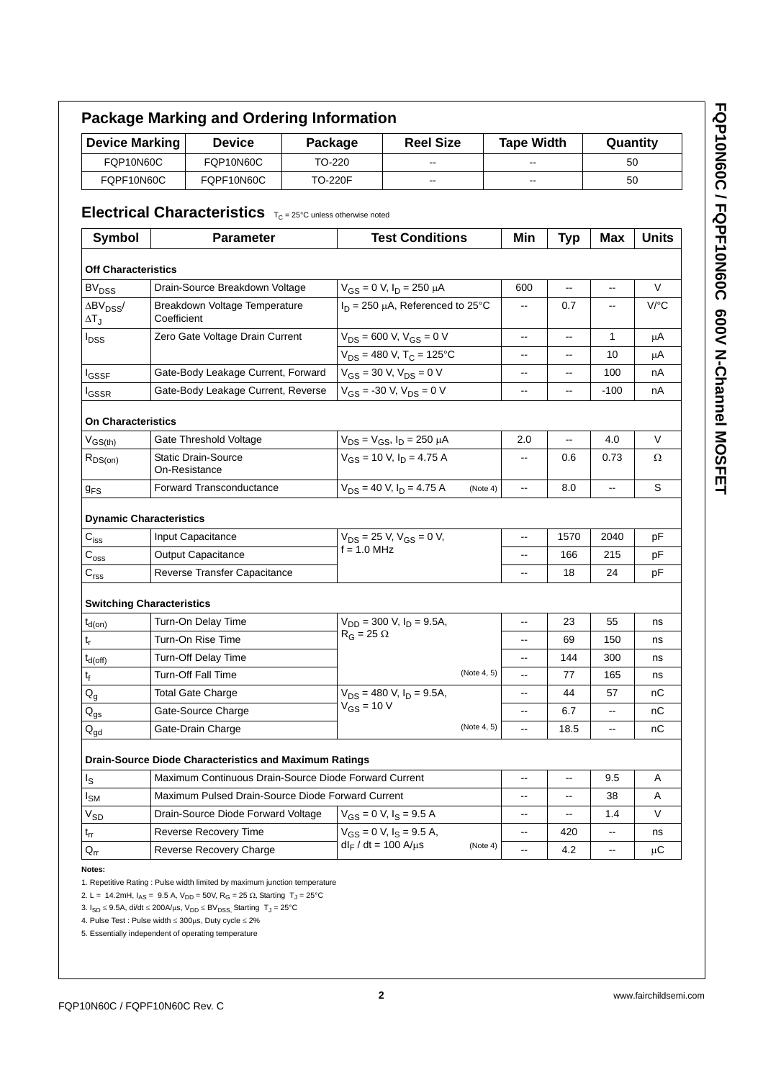| <b>Device Marking</b>             |                                              | <b>Device</b>                                                                | Package                                                                       |                                 | <b>Reel Size</b>                         |                          | <b>Tape Width</b> |                          | Quantity     |              |
|-----------------------------------|----------------------------------------------|------------------------------------------------------------------------------|-------------------------------------------------------------------------------|---------------------------------|------------------------------------------|--------------------------|-------------------|--------------------------|--------------|--------------|
| <b>FQP10N60C</b>                  |                                              | <b>FQP10N60C</b>                                                             | TO-220                                                                        |                                 |                                          |                          |                   |                          | 50           |              |
| FQPF10N60C<br>FQPF10N60C          |                                              | <b>TO-220F</b>                                                               | $\overline{\phantom{a}}$                                                      |                                 | --                                       |                          | 50                |                          |              |              |
|                                   |                                              | <b>Electrical Characteristics</b> $T_C = 25^{\circ}C$ unless otherwise noted |                                                                               |                                 |                                          |                          |                   |                          |              |              |
| <b>Symbol</b>                     |                                              | <b>Parameter</b>                                                             |                                                                               |                                 | <b>Test Conditions</b>                   |                          | Min               | <b>Typ</b>               | Max          | <b>Units</b> |
|                                   |                                              |                                                                              |                                                                               |                                 |                                          |                          |                   |                          |              |              |
| <b>Off Characteristics</b>        |                                              |                                                                              |                                                                               |                                 |                                          |                          |                   |                          |              |              |
| <b>BV<sub>DSS</sub></b>           | Drain-Source Breakdown Voltage               |                                                                              | $V_{GS} = 0$ V, $I_D = 250$ $\mu$ A<br>$I_D = 250 \mu A$ , Referenced to 25°C |                                 | 600                                      | $\overline{\phantom{a}}$ | --                | V                        |              |              |
| $\Delta BV_{DSS}$<br>$\Delta T_J$ | Breakdown Voltage Temperature<br>Coefficient |                                                                              |                                                                               |                                 | --                                       | 0.7                      | --                | V/°C                     |              |              |
| <b>I</b> <sub>DSS</sub>           |                                              | Zero Gate Voltage Drain Current                                              |                                                                               |                                 | $V_{DS}$ = 600 V, $V_{GS}$ = 0 V         |                          | --                | Ξ.                       | $\mathbf{1}$ | μA           |
|                                   |                                              |                                                                              |                                                                               |                                 | $V_{DS}$ = 480 V, T <sub>C</sub> = 125°C |                          | --                | --                       | 10           | μA           |
| <b>I</b> GSSF                     |                                              | Gate-Body Leakage Current, Forward                                           |                                                                               | $V_{GS}$ = 30 V, $V_{DS}$ = 0 V |                                          | --                       | --                | 100                      | nА           |              |
| lgssr                             |                                              | Gate-Body Leakage Current, Reverse                                           |                                                                               |                                 | $V_{GS}$ = -30 V, $V_{DS}$ = 0 V         |                          | --                | --                       | $-100$       | nA           |
| <b>On Characteristics</b>         |                                              |                                                                              |                                                                               |                                 |                                          |                          |                   |                          |              |              |
| $V_{GS(th)}$                      |                                              | Gate Threshold Voltage                                                       |                                                                               |                                 | $V_{DS} = V_{GS}$ , $I_D = 250 \mu A$    |                          | 2.0               |                          | 4.0          | $\vee$       |
| $R_{DS(on)}$                      | <b>Static Drain-Source</b><br>On-Resistance  |                                                                              |                                                                               | $V_{GS}$ = 10 V, $I_D$ = 4.75 A |                                          | --                       | 0.6               | 0.73                     | Ω            |              |
| 9 <sub>FS</sub>                   |                                              | Forward Transconductance                                                     |                                                                               |                                 | $V_{DS}$ = 40 V, $I_D$ = 4.75 A          | (Note 4)                 | --                | 8.0                      | --           | S            |
| <b>Dynamic Characteristics</b>    |                                              |                                                                              |                                                                               |                                 |                                          |                          |                   |                          |              |              |
| $C_{iss}$                         |                                              | Input Capacitance                                                            |                                                                               |                                 | $V_{DS}$ = 25 V, $V_{GS}$ = 0 V,         |                          | --                | 1570                     | 2040         | pF           |
| $C_{\rm oss}$                     | Output Capacitance                           |                                                                              |                                                                               | $f = 1.0$ MHz                   |                                          | ۵.                       | 166               | 215                      | рF           |              |
| $\mathbf{C}_{\text{rss}}$         |                                              | Reverse Transfer Capacitance                                                 |                                                                               |                                 |                                          | --                       | 18                | 24                       | pF           |              |
| <b>Switching Characteristics</b>  |                                              |                                                                              |                                                                               |                                 |                                          |                          |                   |                          |              |              |
| $t_{d(on)}$                       |                                              | Turn-On Delay Time                                                           |                                                                               |                                 | $V_{DD}$ = 300 V, $I_D$ = 9.5A,          |                          | --                | 23                       | 55           | ns           |
|                                   |                                              | Turn-On Rise Time                                                            |                                                                               | $R_G = 25 \Omega$               |                                          |                          | --                | 69                       | 150          | ns           |
| $t_{r}$                           |                                              |                                                                              |                                                                               |                                 |                                          |                          |                   |                          | 300          | ns           |
|                                   |                                              | Turn-Off Delay Time                                                          |                                                                               |                                 |                                          |                          | --                | 144                      |              |              |
| $t_{d(Off)}$                      |                                              | Turn-Off Fall Time                                                           |                                                                               |                                 |                                          | (Note 4, 5)              |                   | 77                       | 165          | ns           |
| $\mathfrak{t}_{\mathfrak{f}}$     |                                              | Total Gate Charge                                                            |                                                                               |                                 | $V_{DS}$ = 480 V, $I_D$ = 9.5A,          |                          | --                | 44                       | 57           | nС           |
| $Q_g$                             |                                              | Gate-Source Charge                                                           |                                                                               | $V_{GS}$ = 10 V                 |                                          |                          | --                | 6.7                      | --           | nС           |
| $Q_{gs}$                          |                                              | Gate-Drain Charge                                                            |                                                                               |                                 |                                          | (Note 4, 5)              | --                | 18.5                     | щ.           | nС           |
| $Q_{gd}$                          |                                              |                                                                              |                                                                               |                                 |                                          |                          |                   |                          |              |              |
|                                   |                                              | <b>Drain-Source Diode Characteristics and Maximum Ratings</b>                |                                                                               |                                 |                                          |                          | --                | --                       |              |              |
|                                   |                                              | Maximum Continuous Drain-Source Diode Forward Current                        |                                                                               |                                 |                                          |                          | --                | $\overline{\phantom{a}}$ | 9.5          | Α            |
| $I_{\rm S}$<br>Isм                |                                              | Maximum Pulsed Drain-Source Diode Forward Current                            |                                                                               |                                 |                                          |                          |                   |                          | 38           | A            |
| $V_{SD}$                          |                                              | Drain-Source Diode Forward Voltage                                           |                                                                               |                                 | $V_{GS} = 0$ V, $I_S = 9.5$ A            |                          | --                |                          | 1.4          | V            |
| $t_{rr}$<br>$Q_{rr}$              |                                              | <b>Reverse Recovery Time</b><br>Reverse Recovery Charge                      |                                                                               | $dl_F/dt = 100$ A/ $\mu$ s      | $V_{GS} = 0$ V, $I_S = 9.5$ A,           | (Note 4)                 | --<br>--          | 420<br>4.2               | --           | ns<br>μC     |

3. I<sub>SD</sub> ≤ 9.5A, di/dt ≤ 200A/µs, V<sub>DD</sub> ≤ BV<sub>DSS,</sub> Starting T<sub>J</sub> = 25°C

4. Pulse Test : Pulse width ≤ 300µs, Duty cycle ≤ 2%

5. Essentially independent of operating temperature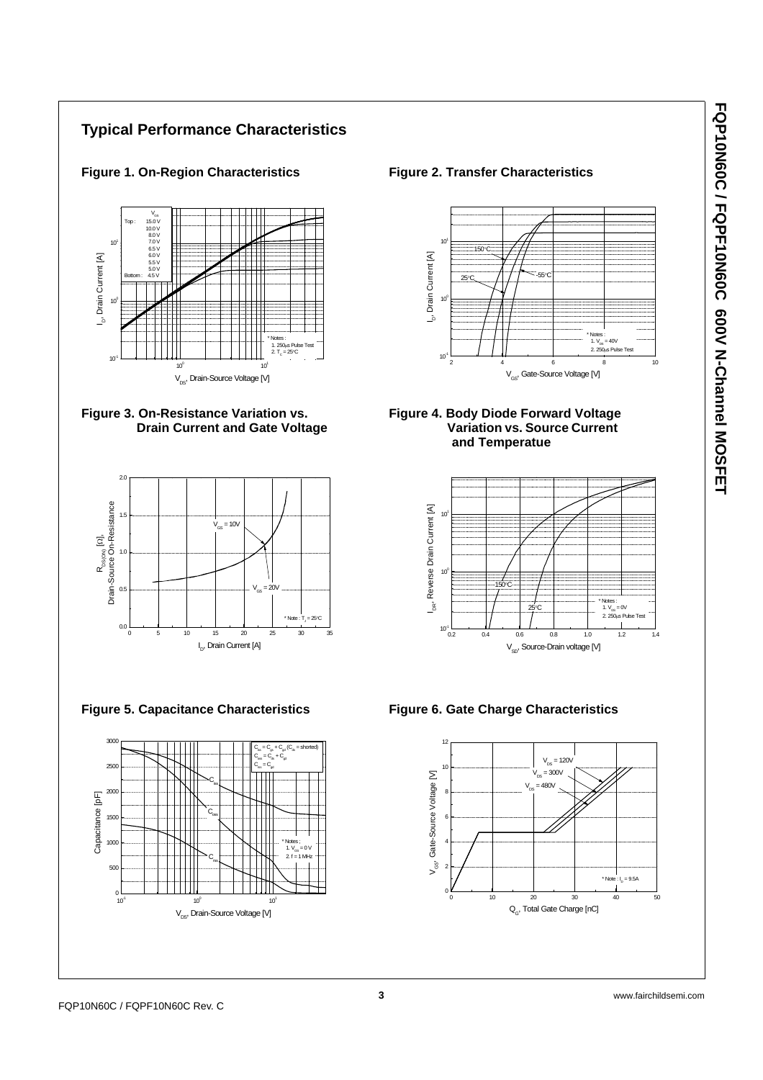# **Typical Performance Characteristics**











Figure 1. On-Region Characteristics **Figure 2. Transfer Characteristics** 







**Figure 5. Capacitance Characteristics Figure 6. Gate Charge Characteristics**

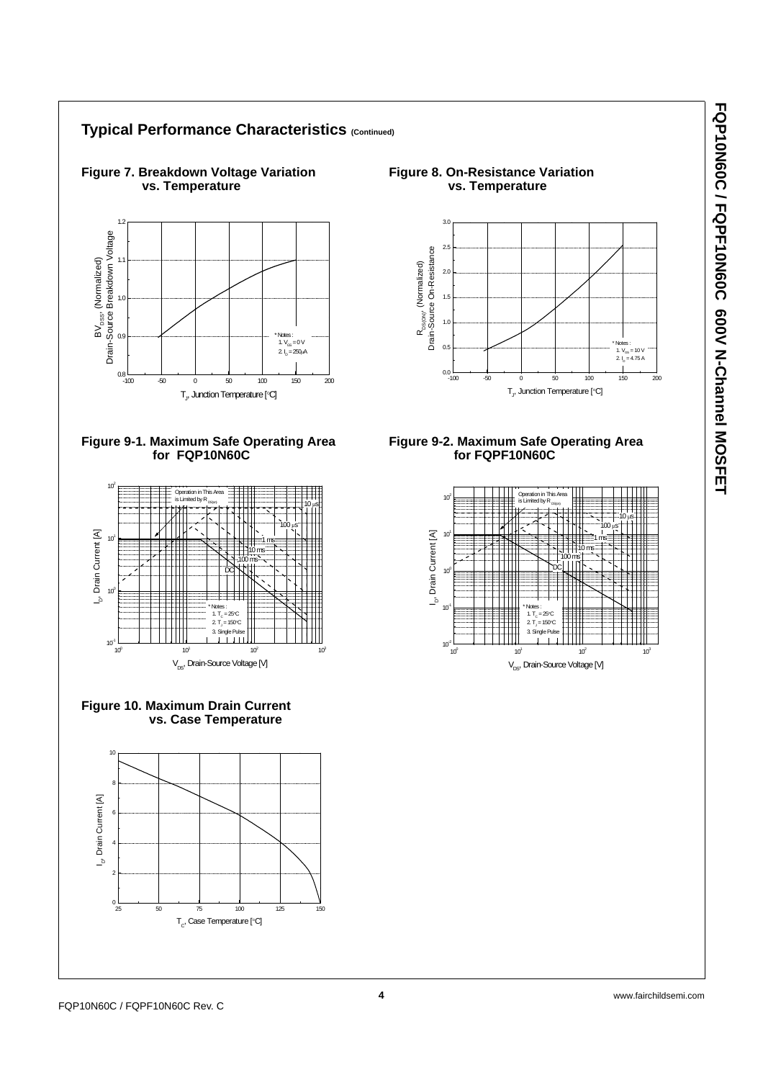\* Notes :<br>1.  $V_{\text{GS}} = 10 V$ 2.  $I_D = 4.75 A$ 

 $10 \mu s$ 

 $\overline{10}$ 

10 ms 1 ms 100 µs

DC



**Typical Performance Characteristics (Continued)**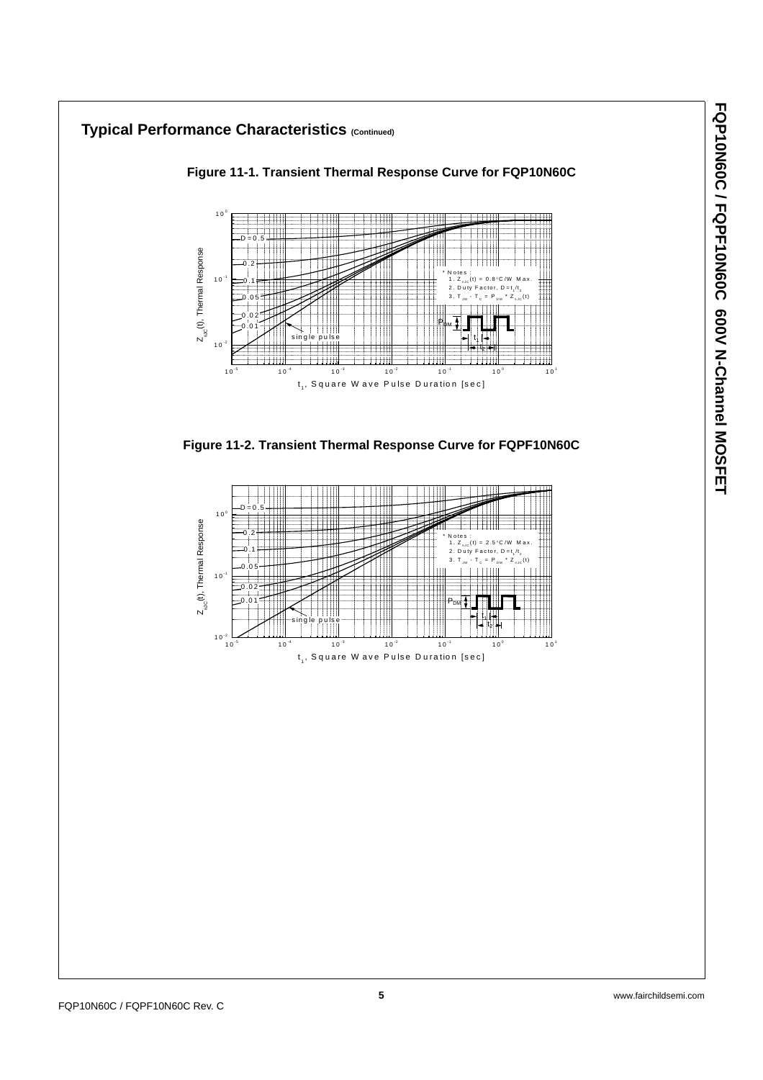## **Typical Performance Characteristics (Continued) Figure 11-1. Transient Thermal Response Curve for FQP10N60C** 1 0 <sup>0</sup>  $D = 0.5$  $Z_{\omega_{\rm C}}(t)$ , Thermal Response  $Z_{\omega_{\mathbb{C}}}(\mathsf{t})$ , Thermal Response 0.2 \* N otes :  $10$ 0.1 1.  $Z_{0.0}$  (t) = 0.8 °C/W M ax. 2. Duty Factor,  $D = t_1 / t_2$  $=$  P 0.05 0.02 Рфм single pulse 0.01 t¦  $10^{-2}$  $\mathrm{t}_{\mathrm{z}}$  $10^{-5}$   $10^{-4}$   $10^{-3}$   $10^{-2}$   $10^{-1}$   $10^{0}$   $10^{1}$  $t_1$ , Square W ave Pulse Duration [sec] **Figure 11-2. Transient Thermal Response Curve for FQPF10N60C**

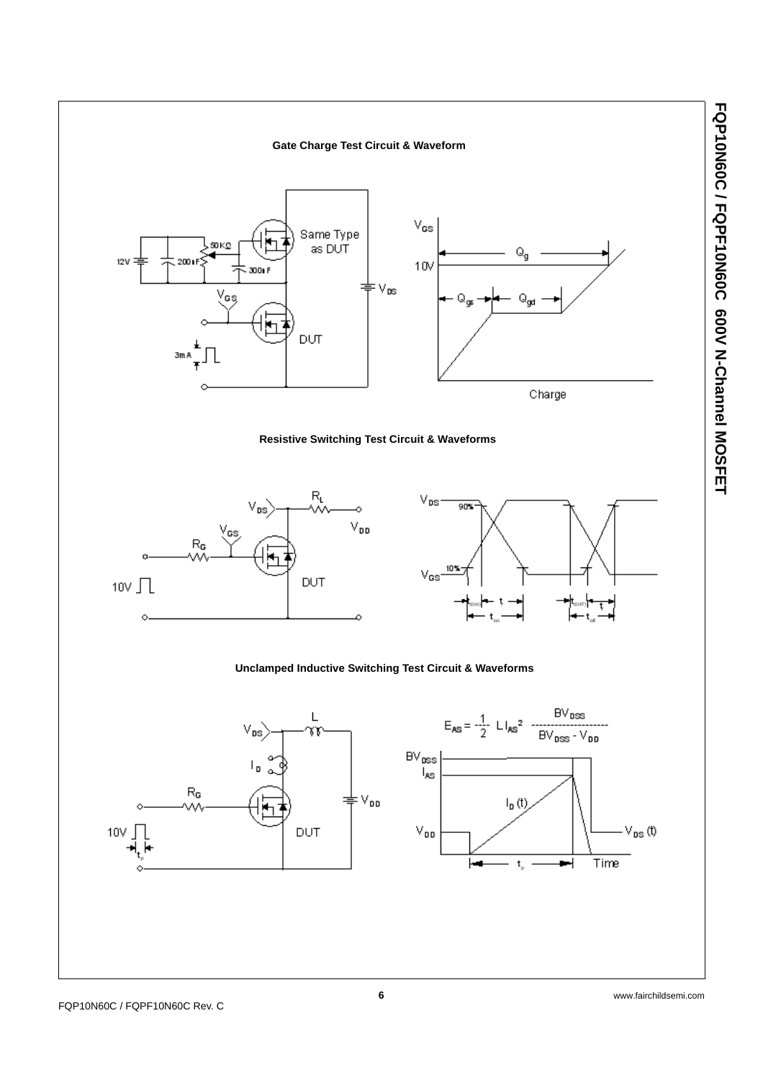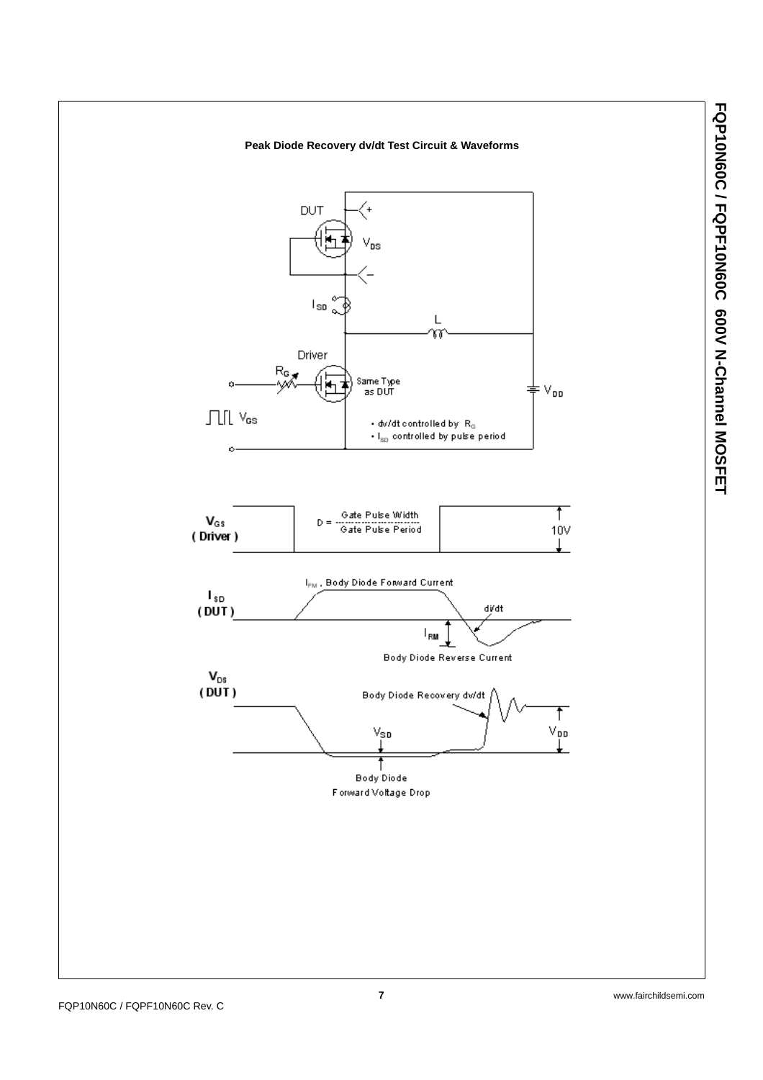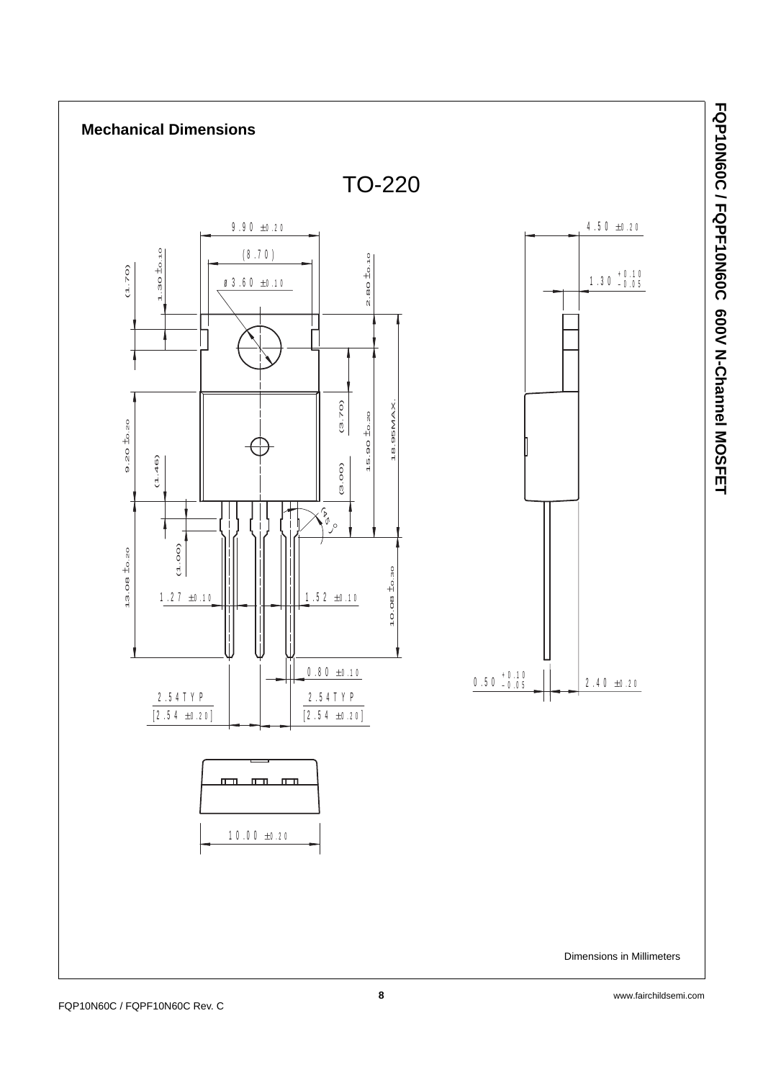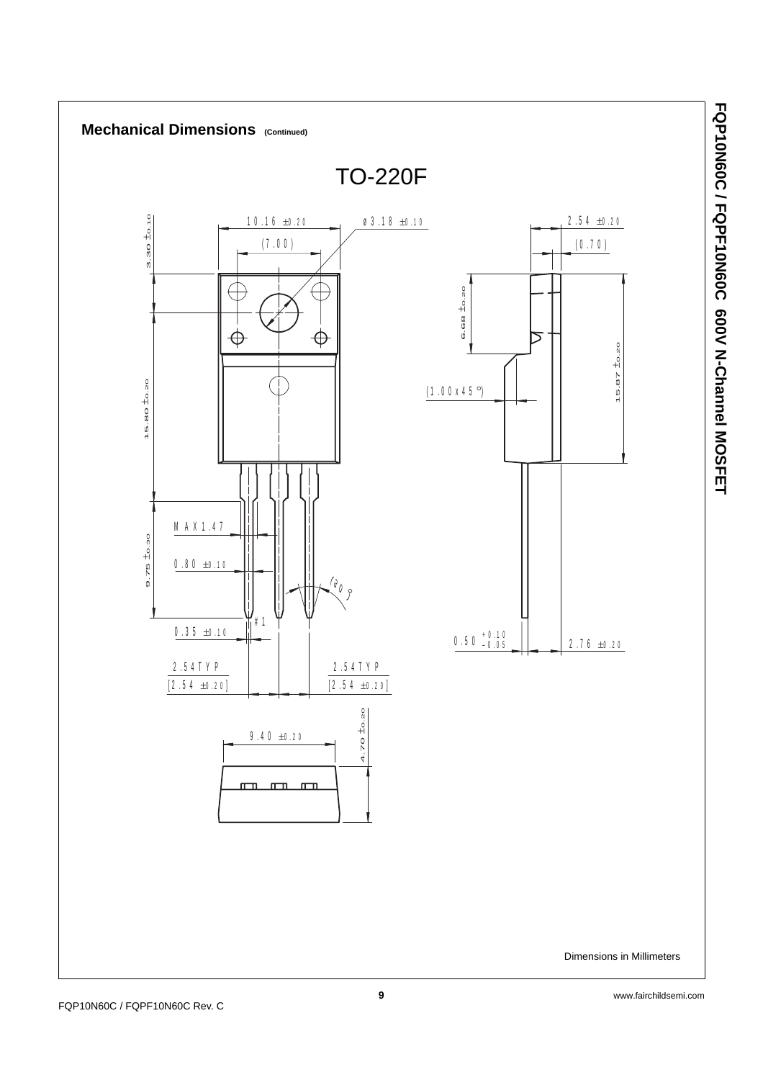

**FQP10N60C / FQPF10N60C 600V N-Channel MOSFET**

**FQP10N60C / FQPF10N60C 600 N-Channel MOSFET**